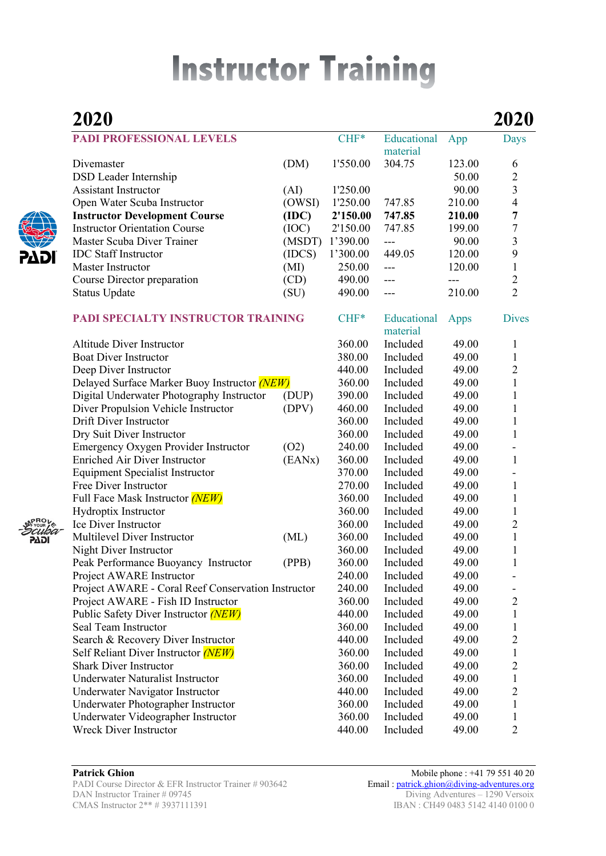# **Instructor Training**

## **2020 2020 PADI PROFESSIONAL LEVELS** CHF<sup>\*</sup> Educational App Days material Divemaster (DM) 1'550.00 304.75 123.00 6 DSD Leader Internship 50.00 2 Assistant Instructor (AI) 1'250.00 90.00 3 Open Water Scuba Instructor (OWSI) 1'250.00 747.85 210.00 4 **Instructor Development Course (IDC) 2'150.00 747.85 210.00 7**  Instructor Orientation Course (IOC) 2'150.00 747.85 199.00 7 Master Scuba Diver Trainer (MSDT) 1'390.00 --- 90.00 3<br>IDC Staff Instructor (IDCS) 1'300.00 449.05 120.00 9 IDC Staff Instructor (IDCS) 1'300.00 449.05 120.00 Master Instructor (MI) 250.00 --- 120.00 1 Course Director preparation (CD) 490.00 --- -- -- 2 Status Update (SU) 490.00 --- 210.00 2 **PADI SPECIALTY INSTRUCTOR TRAINING** CHF<sup>\*</sup> Educational Apps Dives material Altitude Diver Instructor 1 and 1360.00 Included 49.00 1 Boat Diver Instructor and the state of the 380.00 Included 49.00 1 Deep Diver Instructor 440.00 Included 49.00 2 Delayed Surface Marker Buoy Instructor *(NEW)* 360.00 Included 49.00 1 Digital Underwater Photography Instructor (DUP) 390.00 Included 49.00 1 Diver Propulsion Vehicle Instructor (DPV) 460.00 Included 49.00 1 Drift Diver Instructor 360.00 Included 49.00 1 Dry Suit Diver Instructor 360.00 Included 49.00 1 Emergency Oxygen Provider Instructor (O2) 240.00 Included 49.00 -Enriched Air Diver Instructor (EANx) 360.00 Included 49.00 1 Equipment Specialist Instructor 370.00 Included 49.00 - Free Diver Instructor **270.00** Included 49.00 1 Full Face Mask Instructor *(NEW)* 360.00 Included 49.00 1 Hydroptix Instructor 360.00 Included 49.00 1 Ice Diver Instructor 360.00 Included 49.00 2 Multilevel Diver Instructor (ML) 360.00 Included 49.00 1 Night Diver Instructor 1 and 1 360.00 Included 49.00 1 Peak Performance Buoyancy Instructor (PPB) 360.00 Included 49.00 1 Project AWARE Instructor 240.00 Included 49.00 -Project AWARE - Coral Reef Conservation Instructor 240.00 Included 49.00 - Project AWARE - Fish ID Instructor 360.00 Included 49.00 2 Public Safety Diver Instructor *(NEW)* 440.00 Included 49.00 1 Seal Team Instructor **360.00** Included 49.00 1 Search & Recovery Diver Instructor 440.00 Included 49.00 2 Self Reliant Diver Instructor *(NEW)* 360.00 Included 49.00 1 Shark Diver Instructor 360.00 Included 49.00 2 Underwater Naturalist Instructor 1 1 360.00 Included 49.00 1 Underwater Navigator Instructor 440.00 Included 49.00 2 Underwater Photographer Instructor 360.00 Included 49.00 1 Underwater Videographer Instructor 360.00 Included 49.00 1 Wreck Diver Instructor **440.00** Included 49.00 2

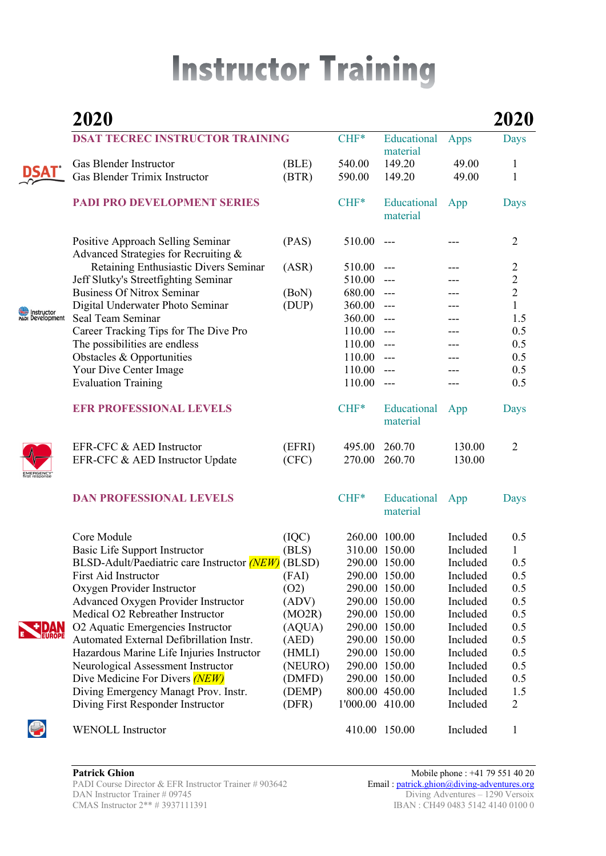# **Instructor Training**

|                                | 2020                                                                      |                 |                 |                         |                      | <b>2020</b>    |
|--------------------------------|---------------------------------------------------------------------------|-----------------|-----------------|-------------------------|----------------------|----------------|
|                                | <b>DSAT TECREC INSTRUCTOR TRAINING</b>                                    |                 | $CHF*$          | Educational<br>material | Apps                 | Days           |
|                                | Gas Blender Instructor                                                    | (BLE)           | 540.00          | 149.20                  | 49.00                | 1              |
|                                | Gas Blender Trimix Instructor                                             | (BTR)           | 590.00          | 149.20                  | 49.00                | 1              |
|                                | PADI PRO DEVELOPMENT SERIES                                               |                 | $CHF*$          | Educational<br>material | App                  | Days           |
|                                | Positive Approach Selling Seminar<br>Advanced Strategies for Recruiting & | (PAS)           | 510.00          | $---$                   |                      | 2              |
|                                | Retaining Enthusiastic Divers Seminar                                     | (ASR)           | 510.00          | $---$                   |                      | 2              |
|                                | Jeff Slutky's Streetfighting Seminar                                      |                 | 510.00          | $---$                   |                      |                |
|                                | <b>Business Of Nitrox Seminar</b>                                         | (BoN)           | 680.00          | $---$                   |                      | $\frac{2}{2}$  |
| Instructor<br>PADI Development | Digital Underwater Photo Seminar                                          | (DUP)           | 360.00          | $---$                   |                      | $\mathbf{1}$   |
|                                | Seal Team Seminar                                                         |                 | 360.00          | $---$                   |                      | 1.5            |
|                                | Career Tracking Tips for The Dive Pro                                     |                 | 110.00          | $---$                   |                      | 0.5            |
|                                | The possibilities are endless                                             |                 | 110.00          | $---$                   |                      | 0.5            |
|                                | Obstacles & Opportunities                                                 |                 | 110.00          | $---$                   |                      | 0.5            |
|                                | Your Dive Center Image                                                    |                 | 110.00          | $---$                   |                      | 0.5            |
|                                | <b>Evaluation Training</b>                                                |                 | 110.00          | $---$                   |                      | 0.5            |
|                                | <b>EFR PROFESSIONAL LEVELS</b>                                            |                 | $CHF*$          | Educational<br>material | App                  | Days           |
|                                | EFR-CFC & AED Instructor                                                  | (EFRI)          | 495.00          | 260.70                  | 130.00               | $\overline{2}$ |
|                                | EFR-CFC & AED Instructor Update                                           | (CFC)           | 270.00          | 260.70                  | 130.00               |                |
|                                | <b>DAN PROFESSIONAL LEVELS</b>                                            |                 | $CHF*$          | Educational<br>material | App                  | Days           |
|                                | Core Module                                                               | (IOC)           |                 | 260.00 100.00           | Included             | 0.5            |
|                                | Basic Life Support Instructor                                             | (BLS)           |                 | 310.00 150.00           | Included             | 1              |
| <b>EUROPE</b>                  | BLSD-Adult/Paediatric care Instructor (NEW) (BLSD)                        |                 |                 | 290.00 150.00           | Included             | $0.5\,$        |
|                                | First Aid Instructor                                                      | (FAI)           |                 | 290.00 150.00           | Included             | 0.5            |
|                                | Oxygen Provider Instructor                                                | (02)            |                 | 290.00 150.00           | Included             | 0.5            |
|                                | <b>Advanced Oxygen Provider Instructor</b>                                | (ADV)           |                 | 290.00 150.00           | Included             | 0.5            |
|                                | Medical O2 Rebreather Instructor                                          | (MO2R)          |                 | 290.00 150.00           | Included             | 0.5            |
|                                | O2 Aquatic Emergencies Instructor                                         | (AQUA)          |                 | 290.00 150.00           | Included             | 0.5            |
|                                | Automated External Defibrillation Instr.                                  | (AED)           |                 | 290.00 150.00           | Included             | 0.5            |
|                                | Hazardous Marine Life Injuries Instructor                                 | (HMLI)          |                 | 290.00 150.00           | Included             | 0.5            |
|                                | Neurological Assessment Instructor                                        | (NEURO)         |                 | 290.00 150.00           | Included             | 0.5            |
|                                | Dive Medicine For Divers (NEW)                                            | (DMFD)          |                 | 290.00 150.00           | Included             | 0.5            |
|                                | Diving Emergency Managt Prov. Instr.<br>Diving First Responder Instructor | (DEMP)<br>(DFR) | 1'000.00 410.00 | 800.00 450.00           | Included<br>Included | 1.5<br>2       |
| U                              | <b>WENOLL Instructor</b>                                                  |                 |                 | 410.00 150.00           | Included             | 1              |